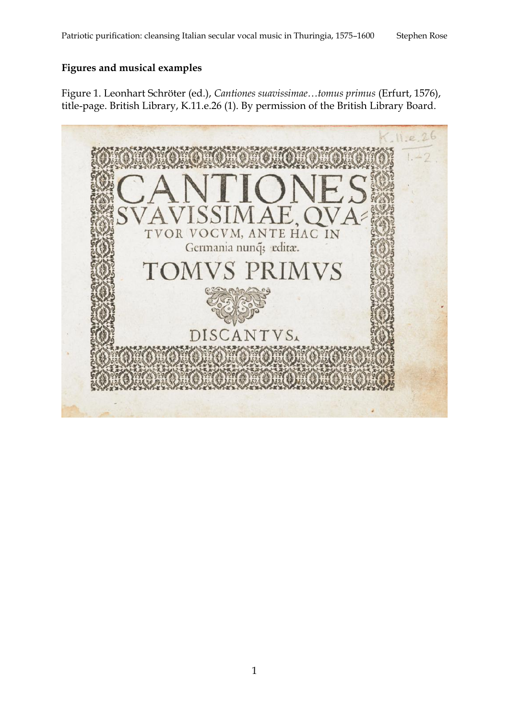## **Figures and musical examples**

Figure 1. Leonhart Schröter (ed.), *Cantiones suavissimae…tomus primus* (Erfurt, 1576), title-page. British Library, K.11.e.26 (1). By permission of the British Library Board.

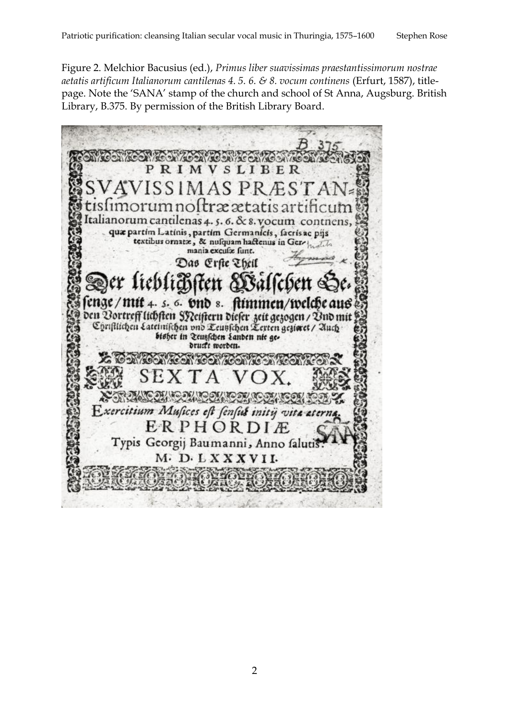Figure 2. Melchior Bacusius (ed.), *Primus liber suavissimas praestantissimorum nostrae aetatis artificum Italianorum cantilenas 4. 5. 6. & 8. vocum continens* (Erfurt, 1587), titlepage. Note the 'SANA' stamp of the church and school of St Anna, Augsburg. British Library, B.375. By permission of the British Library Board.



2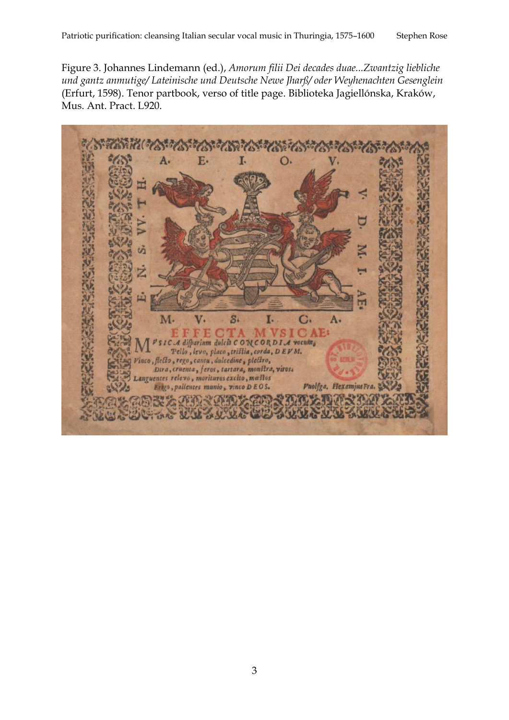Figure 3. Johannes Lindemann (ed.), *Amorum filii Dei decades duae...Zwantzig liebliche und gantz anmutige/ Lateinische und Deutsche Newe Jharß/ oder Weyhenachten Gesenglein* (Erfurt, 1598). Tenor partbook, verso of title page. Biblioteka Jagiellónska, Kraków, Mus. Ant. Pract. L920.

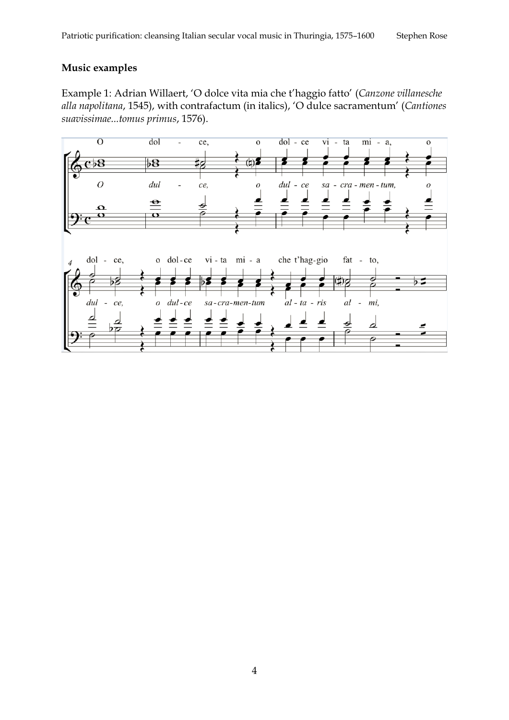## **Music examples**

Example 1: Adrian Willaert, 'O dolce vita mia che t'haggio fatto' (*Canzone villanesche alla napolitana*, 1545), with contrafactum (in italics), 'O dulce sacramentum' (*Cantiones suavissimae...tomus primus*, 1576).

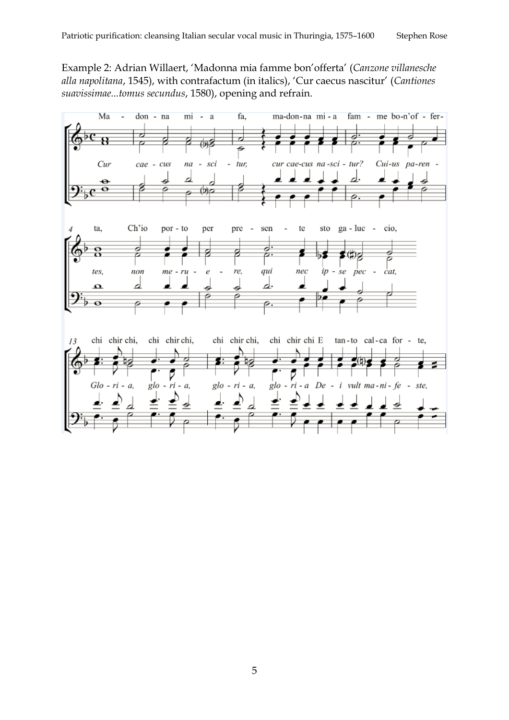Example 2: Adrian Willaert, 'Madonna mia famme bon'offerta' (*Canzone villanesche alla napolitana*, 1545), with contrafactum (in italics), 'Cur caecus nascitur' (*Cantiones suavissimae...tomus secundus*, 1580), opening and refrain.

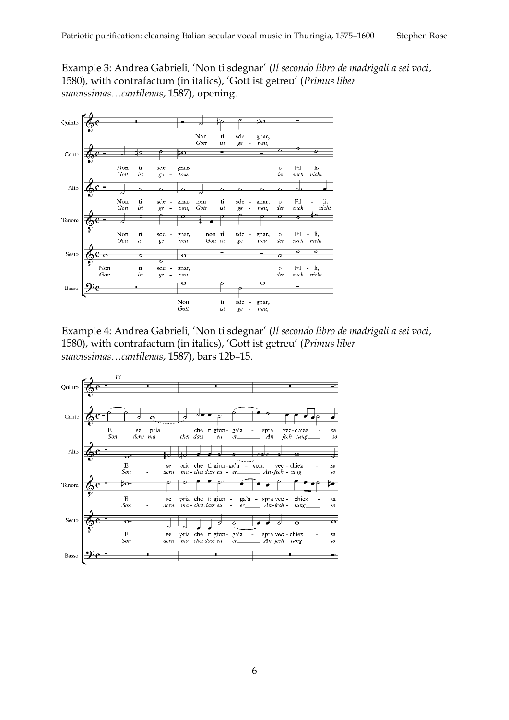Example 3: Andrea Gabrieli, 'Non ti sdegnar' (*Il secondo libro de madrigali a sei voci*, 1580), with contrafactum (in italics), 'Gott ist getreu' (*Primus liber suavissimas…cantilenas*, 1587), opening.



Example 4: Andrea Gabrieli, 'Non ti sdegnar' (*Il secondo libro de madrigali a sei voci*, 1580), with contrafactum (in italics), 'Gott ist getreu' (*Primus liber suavissimas…cantilenas*, 1587), bars 12b–15.



6